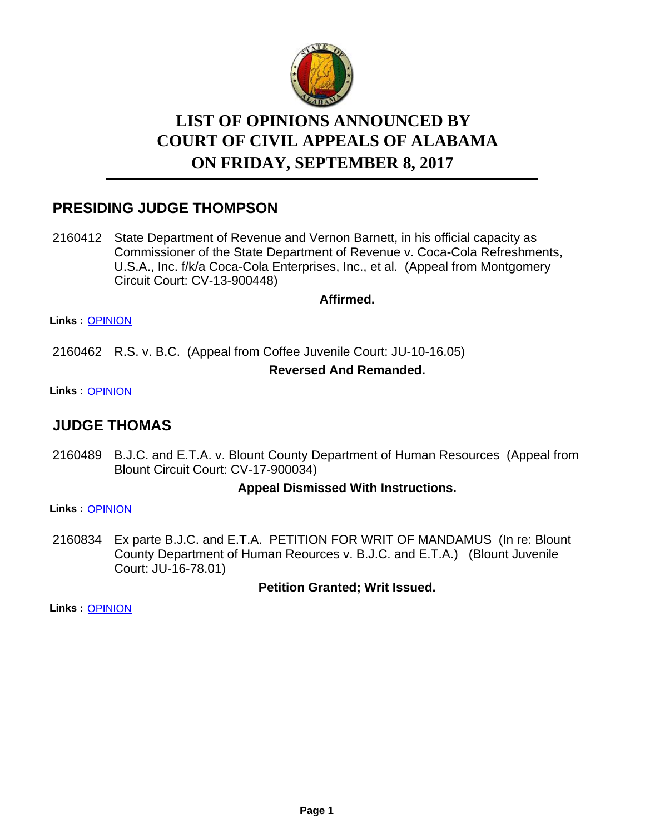

# **LIST OF OPINIONS ANNOUNCED BY ON FRIDAY, SEPTEMBER 8, 2017 COURT OF CIVIL APPEALS OF ALABAMA**

### **PRESIDING JUDGE THOMPSON**

2160412 State Department of Revenue and Vernon Barnett, in his official capacity as Commissioner of the State Department of Revenue v. Coca-Cola Refreshments, U.S.A., Inc. f/k/a Coca-Cola Enterprises, Inc., et al. (Appeal from Montgomery Circuit Court: CV-13-900448)

**Affirmed.**

**Links :** [OPINION](https://acis.alabama.gov/displaydocs.cfm?no=824439&event=50A0KH0OT)

2160462 R.S. v. B.C. (Appeal from Coffee Juvenile Court: JU-10-16.05)

### **Reversed And Remanded.**

**Links :** [OPINION](https://acis.alabama.gov/displaydocs.cfm?no=824440&event=50A0KH0YT)

### **JUDGE THOMAS**

2160489 B.J.C. and E.T.A. v. Blount County Department of Human Resources (Appeal from Blount Circuit Court: CV-17-900034)

### **Appeal Dismissed With Instructions.**

**Links :** [OPINION](https://acis.alabama.gov/displaydocs.cfm?no=824441&event=50A0KH12P)

2160834 Ex parte B.J.C. and E.T.A. PETITION FOR WRIT OF MANDAMUS (In re: Blount County Department of Human Reources v. B.J.C. and E.T.A.) (Blount Juvenile Court: JU-16-78.01)

**Petition Granted; Writ Issued.**

**Links :** [OPINION](https://acis.alabama.gov/displaydocs.cfm?no=824442&event=50A0KH17H)